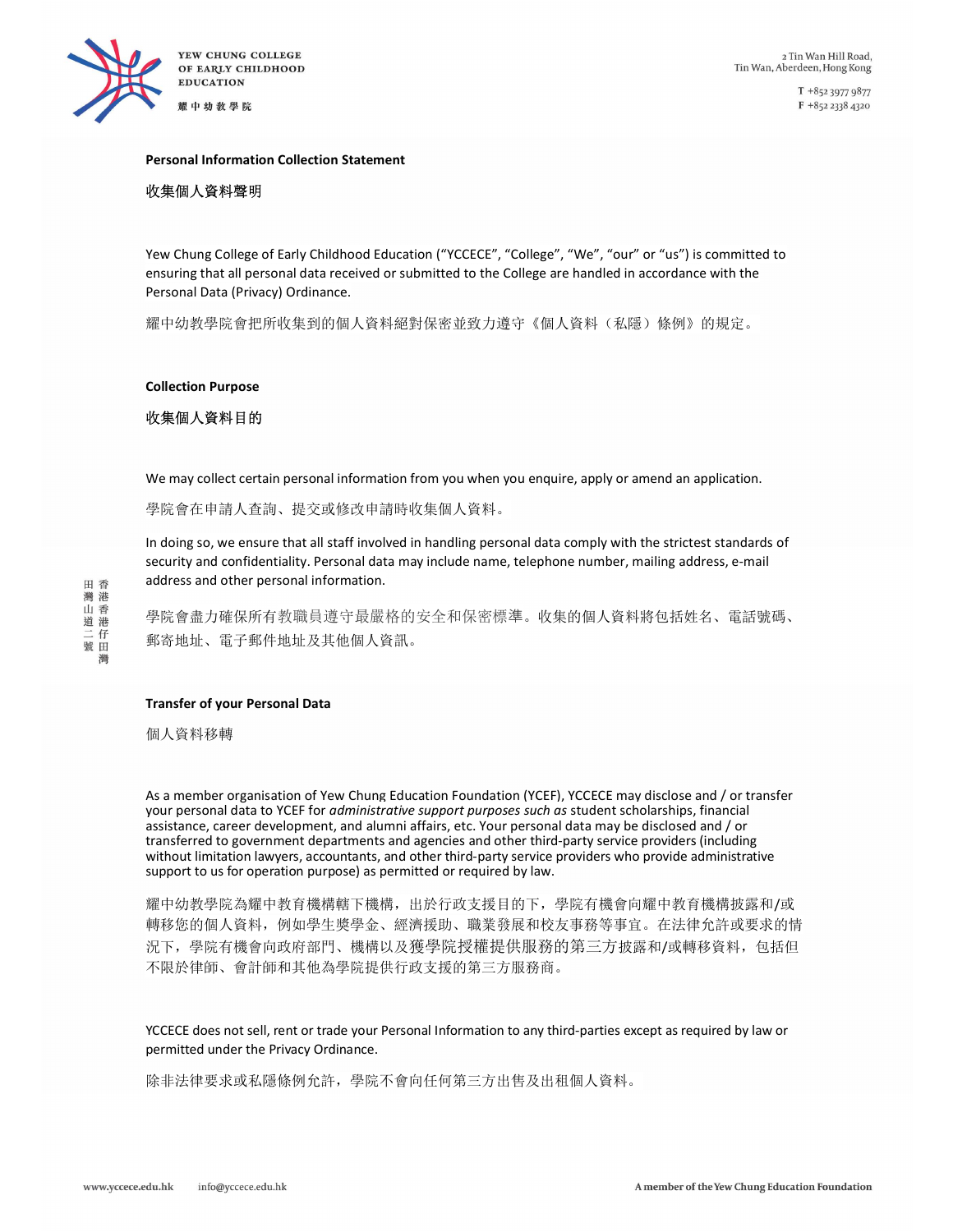

 $T + 85239779877$ F +852 2338 4320

#### Personal Information Collection Statement

## 收集個人資料聲明

Yew Chung College of Early Childhood Education ("YCCECE", "College", "We", "our" or "us") is committed to ensuring that all personal data received or submitted to the College are handled in accordance with the Personal Data (Privacy) Ordinance.

耀中幼教學院會把所收集到的個人資料絕對保密並致力遵守《個人資料(私隱)條例》的規定。

#### Collection Purpose

# 收集個人資料目的

We may collect certain personal information from you when you enquire, apply or amend an application.

學院會在申請人查詢、提交或修改申請時收集個人資料。

In doing so, we ensure that all staff involved in handling personal data comply with the strictest standards of security and confidentiality. Personal data may include name, telephone number, mailing address, e-mail address and other personal information.

學院會盡力確保所有教職員遵守最嚴格的安全和保密標準。收集的個人資料將包括姓名、電話號碼、 郵寄地址、電子郵件地址及其他個人資訊。

#### Transfer of your Personal Data

個人資料移轉

As a member organisation of Yew Chung Education Foundation (YCEF), YCCECE may disclose and / or transfer your personal data to YCEF for administrative support purposes such as student scholarships, financial assistance, career development, and alumni affairs, etc. Your personal data may be disclosed and / or transferred to government departments and agencies and other third-party service providers (including without limitation lawyers, accountants, and other third-party service providers who provide administrative support to us for operation purpose) as permitted or required by law.

耀中幼教學院為耀中教育機構轄下機構,出於行政支援目的下,學院有機會向耀中教育機構披露和/或 轉移您的個人資料,例如學生獎學金、經濟援助、職業發展和校友事務等事宜。在法律允許或要求的情 況下,學院有機會向政府部門、機構以及獲學院授權提供服務的第三方披露和/或轉移資料,包括但 不限於律師、會計師和其他為學院提供行政支援的第三方服務商。

YCCECE does not sell, rent or trade your Personal Information to any third-parties except as required by law or permitted under the Privacy Ordinance.

除非法律要求或私隱條例允許,學院不會向任何第三方出售及出租個人資料。

田香 灣港 **信山道二號** 灣